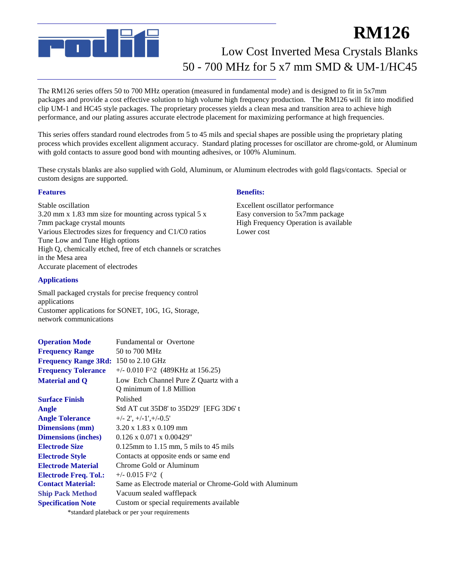

## Low Cost Inverted Mesa Crystals Blanks **RM126** 50 - 700 MHz for 5 x7 mm SMD & UM-1/HC45

The RM126 series offers 50 to 700 MHz operation (measured in fundamental mode) and is designed to fit in 5x7mm packages and provide a cost effective solution to high volume high frequency production. The RM126 will fit into modified clip UM-1 and HC45 style packages. The proprietary processes yields a clean mesa and transition area to achieve high performance, and our plating assures accurate electrode placement for maximizing performance at high frequencies.

This series offers standard round electrodes from 5 to 45 mils and special shapes are possible using the proprietary plating process which provides excellent alignment accuracy. Standard plating processes for oscillator are chrome-gold, or Aluminum with gold contacts to assure good bond with mounting adhesives, or 100% Aluminum.

These crystals blanks are also supplied with Gold, Aluminum, or Aluminum electrodes with gold flags/contacts. Special or custom designs are supported.

#### **Features**

Stable oscillation 3.20 mm x 1.83 mm size for mounting across typical 5 x 7mm package crystal mounts Various Electrodes sizes for frequency and C1/C0 ratios Tune Low and Tune High options High Q, chemically etched, free of etch channels or scratches in the Mesa area Accurate placement of electrodes

#### **Applications**

Small packaged crystals for precise frequency control applications Customer applications for SONET, 10G, 1G, Storage, network communications

| <b>Operation Mode</b>                        | <b>Fundamental or Overtone</b>                                   |  |  |
|----------------------------------------------|------------------------------------------------------------------|--|--|
| <b>Frequency Range</b>                       | 50 to 700 MHz                                                    |  |  |
| <b>Frequency Range 3Rd:</b> 150 to 2.10 GHz  |                                                                  |  |  |
| <b>Frequency Tolerance</b>                   | $+/- 0.010$ F <sup><math>\wedge</math>2 (489KHz at 156.25)</sup> |  |  |
| <b>Material and Q</b>                        | Low Etch Channel Pure Z Quartz with a                            |  |  |
|                                              | Q minimum of 1.8 Million                                         |  |  |
| <b>Surface Finish</b>                        | Polished                                                         |  |  |
| Angle                                        | Std AT cut 35D8' to 35D29' [EFG 3D6' t                           |  |  |
| <b>Angle Tolerance</b>                       | $+/- 2$ ', $+/-1$ ', $+/-0.5$ '                                  |  |  |
| <b>Dimensions</b> (mm)                       | $3.20 \times 1.83 \times 0.109$ mm                               |  |  |
| <b>Dimensions (inches)</b>                   | $0.126 \times 0.071 \times 0.00429$ "                            |  |  |
| <b>Electrode Size</b>                        | $0.125$ mm to 1.15 mm, 5 mils to 45 mils                         |  |  |
| <b>Electrode Style</b>                       | Contacts at opposite ends or same end                            |  |  |
| <b>Electrode Material</b>                    | Chrome Gold or Aluminum                                          |  |  |
| <b>Electrode Freq. Tol.:</b>                 | $+/- 0.015$ F <sup><math>2</math></sup> (                        |  |  |
| <b>Contact Material:</b>                     | Same as Electrode material or Chrome-Gold with Aluminum          |  |  |
| <b>Ship Pack Method</b>                      | Vacuum sealed wafflepack                                         |  |  |
| <b>Specification Note</b>                    | Custom or special requirements available                         |  |  |
| *standard plateback or per your requirements |                                                                  |  |  |

#### **Benefits:**

Excellent oscillator performance Easy conversion to 5x7mm package High Frequency Operation is available Lower cost